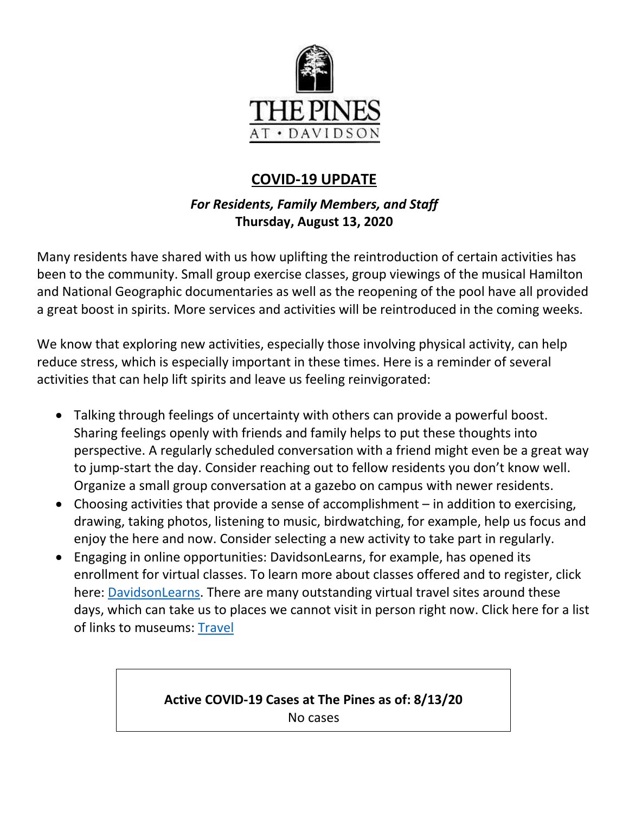

# **COVID-19 UPDATE**

## *For Residents, Family Members, and Staff* **Thursday, August 13, 2020**

Many residents have shared with us how uplifting the reintroduction of certain activities has been to the community. Small group exercise classes, group viewings of the musical Hamilton and National Geographic documentaries as well as the reopening of the pool have all provided a great boost in spirits. More services and activities will be reintroduced in the coming weeks.

We know that exploring new activities, especially those involving physical activity, can help reduce stress, which is especially important in these times. Here is a reminder of several activities that can help lift spirits and leave us feeling reinvigorated:

- Talking through feelings of uncertainty with others can provide a powerful boost. Sharing feelings openly with friends and family helps to put these thoughts into perspective. A regularly scheduled conversation with a friend might even be a great way to jump-start the day. Consider reaching out to fellow residents you don't know well. Organize a small group conversation at a gazebo on campus with newer residents.
- Choosing activities that provide a sense of accomplishment in addition to exercising, drawing, taking photos, listening to music, birdwatching, for example, help us focus and enjoy the here and now. Consider selecting a new activity to take part in regularly.
- Engaging in online opportunities: DavidsonLearns, for example, has opened its enrollment for virtual classes. To learn more about classes offered and to register, click here: [DavidsonLearns.](https://www.davidsonlearns.org/) There are many outstanding virtual travel sites around these days, which can take us to places we cannot visit in person right now. Click here for a list of links to museums: [Travel](https://www.travelandleisure.com/attractions/museums-galleries/museums-with-virtual-tours)

## **Active COVID-19 Cases at The Pines as of: 8/13/20** No cases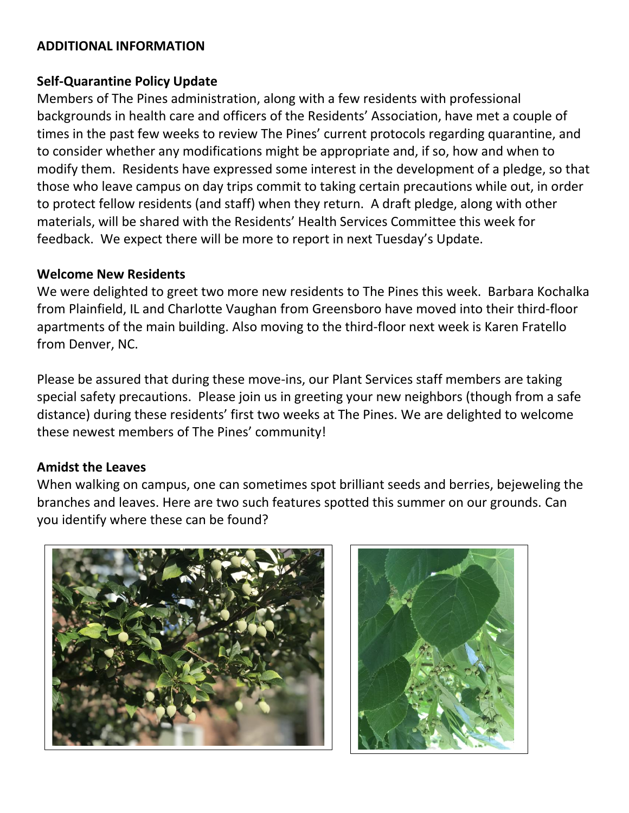## **ADDITIONAL INFORMATION**

## **Self-Quarantine Policy Update**

Members of The Pines administration, along with a few residents with professional backgrounds in health care and officers of the Residents' Association, have met a couple of times in the past few weeks to review The Pines' current protocols regarding quarantine, and to consider whether any modifications might be appropriate and, if so, how and when to modify them. Residents have expressed some interest in the development of a pledge, so that those who leave campus on day trips commit to taking certain precautions while out, in order to protect fellow residents (and staff) when they return. A draft pledge, along with other materials, will be shared with the Residents' Health Services Committee this week for feedback. We expect there will be more to report in next Tuesday's Update.

#### **Welcome New Residents**

We were delighted to greet two more new residents to The Pines this week. Barbara Kochalka from Plainfield, IL and Charlotte Vaughan from Greensboro have moved into their third-floor apartments of the main building. Also moving to the third-floor next week is Karen Fratello from Denver, NC.

Please be assured that during these move-ins, our Plant Services staff members are taking special safety precautions. Please join us in greeting your new neighbors (though from a safe distance) during these residents' first two weeks at The Pines. We are delighted to welcome these newest members of The Pines' community!

#### **Amidst the Leaves**

When walking on campus, one can sometimes spot brilliant seeds and berries, bejeweling the branches and leaves. Here are two such features spotted this summer on our grounds. Can you identify where these can be found?